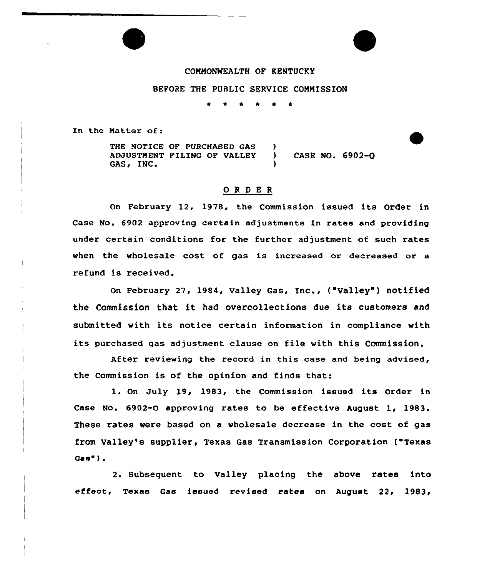## COMMONWEALTH OF KENTUCKY

## BEFORE THE PUBLIC SERVICE CONNISSION

\* \* \* \* <sup>~</sup> \*

In the Natter of:

THE NOTICE OF PURCHASED GAS (a) ADJUSTMENT FILING OF VALLEY ) CASE NO. 6902-Q GAS. INC.

## ORDER

On February 12, 1978, the Commission issued its Order in Case No. 6902 approving certain adjustments in rates and providing under certain conditions for the further adjustment of such rates when the wholesale cost of gas is increased or decreased or a refund is received.

on February 27, 1984, valley Gas, Inc., ("Valley" ) notified the Commission that it had overcollections due its customers and submitted with its notice certain information in compliance with its purchased gas adjustment clause on file with this Commission.

After reviewing the record in this case and being advised, the Commission is of the opinion and finds that:

1. On July 19, 1983, the Commission issued its Order in Case No. 6902-0 approving rates to be effective August 1, 1983 These rates were based on a wholesale decrease in the cost of gas from Valley's supplier, Texas Gas Transmission Corporation ( Texas Gas" ) .

2. Subsequent to Valley placing the above rates into effect, Texas Gas issued revised rates on August 22, 1983,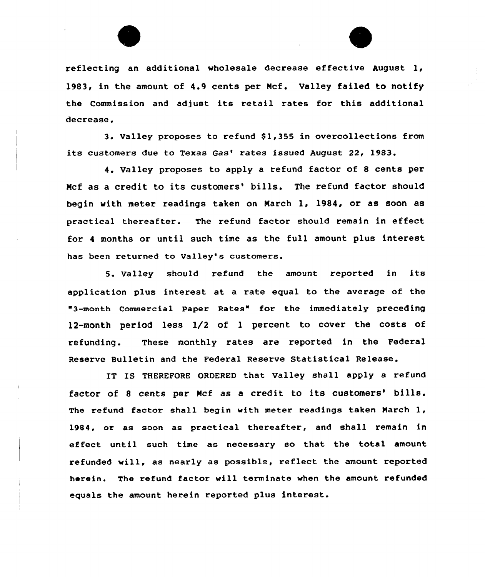

reflecting an additional wholesale decrease effective August 1, 1983, in the amount of 4.9 cents per Ncf. Valley failed to notify the Commission and adjust its retail rates for this additional decrease.

3. Valley proposes to refund \$1,355 in overcollections from its customers due to Texas Gas' rates issued August 22, 1983.

4. Valley proposes to apply a refund factor of <sup>8</sup> cents per Mcf as a credit to its customers' bills. The refund factor should begin with meter readings taken on March 1, 1984, or as soon as practical thereafter. The refund factor should remain in effect for <sup>4</sup> months or until such time as the full amount plus interest has been returned to Valley's customers.

5. Valley should refund the amount reported in its application plus interest at a rate equal to the average of the 3-month Commercial Paper Rates" for the immediately preceding 12-month period less 1/2 of 1 percent to cover the costs of refunding. These monthly rates are reported in the Federal Reserve Bulletin and the Federal Reserve Statistical Release.

IT IS THEREFORE ORDERED that Valley shall apply a refund factor of 8 cents per Mcf as a credit to its customers' bills. The refund factor shall begin with meter readings taken Narch 1, 1984, or as soon as practical thereafter, and shall remain in effect until such time as necessary so that the total amount refunded will, as nearly as possible, reflect the amount reported herein. The refund factor will terminate when the amount refunded equals the amount herein reported plus interest.